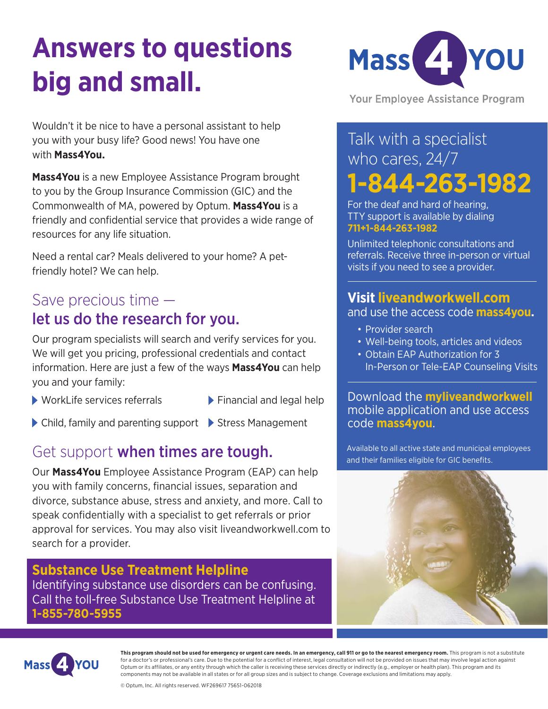# **Answers to questions big and small.**



Wouldn't it be nice to have a personal assistant to help you with your busy life? Good news! You have one with **Mass4You.**

**Mass4You** is a new Employee Assistance Program brought to you by the Group Insurance Commission (GIC) and the Commonwealth of MA, powered by Optum. **Mass4You** is a friendly and confidential service that provides a wide range of resources for any life situation.

Need a rental car? Meals delivered to your home? A petfriendly hotel? We can help.

### Save precious time let us do the research for you.

Our program specialists will search and verify services for you. We will get you pricing, professional credentials and contact information. Here are just a few of the ways **Mass4You** can help you and your family:

- $\triangleright$  WorkLife services referrals  $\triangleright$  Financial and legal help
- 
- ▶ Child, family and parenting support ▶ Stress Management

### Get support when times are tough.

Our **Mass4You** Employee Assistance Program (EAP) can help you with family concerns, financial issues, separation and divorce, substance abuse, stress and anxiety, and more. Call to speak confidentially with a specialist to get referrals or prior approval for services. You may also visit liveandworkwell.com to search for a provider.

#### **Substance Use Treatment Helpline** Identifying substance use disorders can be confusing. Call the toll-free Substance Use Treatment Helpline at **1-855-780-5955**

**Your Employee Assistance Program** 

## Talk with a specialist who cares, 24/7 **1-844-263-1982**

For the deaf and hard of hearing, TTY support is available by dialing **711+1-844-263-1982**

Unlimited telephonic consultations and referrals. Receive three in-person or virtual visits if you need to see a provider.

#### **Visit liveandworkwell.com**

and use the access code **mass4you.**

- Provider search
- Well-being tools, articles and videos
- Obtain EAP Authorization for 3 In-Person or Tele-EAP Counseling Visits

Download the **myliveandworkwell** mobile application and use access code **mass4you**.

Available to all active state and municipal employees and their families eligible for GIC benefits.





**This program should not be used for emergency or urgent care needs. In an emergency, call 911 or go to the nearest emergency room.** This program is not a substitute for a doctor's or professional's care. Due to the potential for a conflict of interest, legal consultation will not be provided on issues that may involve legal action against Optum or its affiliates, or any entity through which the caller is receiving these services directly or indirectly (e.g., employer or health plan). This program and its components may not be available in all states or for all group sizes and is subject to change. Coverage exclusions and limitations may apply.